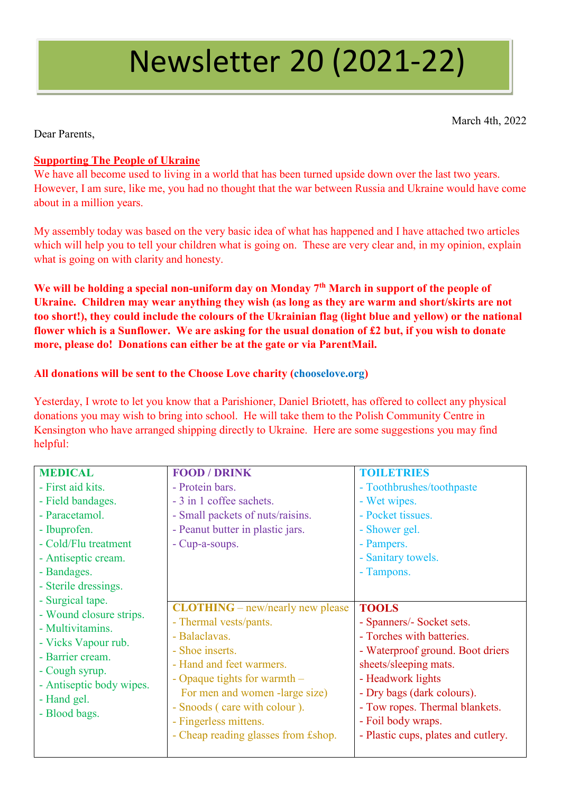# Newsletter 20 (2021-22)

March 4th, 2022

Dear Parents,

## **Supporting The People of Ukraine**

We have all become used to living in a world that has been turned upside down over the last two years. However, I am sure, like me, you had no thought that the war between Russia and Ukraine would have come about in a million years.

My assembly today was based on the very basic idea of what has happened and I have attached two articles which will help you to tell your children what is going on. These are very clear and, in my opinion, explain what is going on with clarity and honesty.

**We will be holding a special non-uniform day on Monday 7th March in support of the people of Ukraine. Children may wear anything they wish (as long as they are warm and short/skirts are not too short!), they could include the colours of the Ukrainian flag (light blue and yellow) or the national flower which is a Sunflower. We are asking for the usual donation of £2 but, if you wish to donate more, please do! Donations can either be at the gate or via ParentMail.**

### **All donations will be sent to the Choose Love charity (chooselove.org)**

Yesterday, I wrote to let you know that a Parishioner, Daniel Briotett, has offered to collect any physical donations you may wish to bring into school. He will take them to the Polish Community Centre in Kensington who have arranged shipping directly to Ukraine. Here are some suggestions you may find helpful:

| <b>MEDICAL</b>                                                                                                                                                       | <b>FOOD / DRINK</b>                                                                                                                                                                                                                                                                                   | <b>TOILETRIES</b>                                                                                                                                                                                                                                                                     |
|----------------------------------------------------------------------------------------------------------------------------------------------------------------------|-------------------------------------------------------------------------------------------------------------------------------------------------------------------------------------------------------------------------------------------------------------------------------------------------------|---------------------------------------------------------------------------------------------------------------------------------------------------------------------------------------------------------------------------------------------------------------------------------------|
| - First aid kits.                                                                                                                                                    | - Protein bars.                                                                                                                                                                                                                                                                                       | - Toothbrushes/toothpaste                                                                                                                                                                                                                                                             |
| - Field bandages.                                                                                                                                                    | - 3 in 1 coffee sachets.                                                                                                                                                                                                                                                                              | - Wet wipes.                                                                                                                                                                                                                                                                          |
| - Paracetamol.                                                                                                                                                       | - Small packets of nuts/raisins.                                                                                                                                                                                                                                                                      | - Pocket tissues.                                                                                                                                                                                                                                                                     |
| - Ibuprofen.                                                                                                                                                         | - Peanut butter in plastic jars.                                                                                                                                                                                                                                                                      | - Shower gel.                                                                                                                                                                                                                                                                         |
| - Cold/Flu treatment                                                                                                                                                 | - Cup-a-soups.                                                                                                                                                                                                                                                                                        | - Pampers.                                                                                                                                                                                                                                                                            |
| - Antiseptic cream.                                                                                                                                                  |                                                                                                                                                                                                                                                                                                       | - Sanitary towels.                                                                                                                                                                                                                                                                    |
| - Bandages.                                                                                                                                                          |                                                                                                                                                                                                                                                                                                       | - Tampons.                                                                                                                                                                                                                                                                            |
| - Sterile dressings.                                                                                                                                                 |                                                                                                                                                                                                                                                                                                       |                                                                                                                                                                                                                                                                                       |
| - Surgical tape.                                                                                                                                                     |                                                                                                                                                                                                                                                                                                       |                                                                                                                                                                                                                                                                                       |
| - Wound closure strips.<br>- Multivitamins.<br>- Vicks Vapour rub.<br>- Barrier cream.<br>- Cough syrup.<br>- Antiseptic body wipes.<br>- Hand gel.<br>- Blood bags. | <b>CLOTHING</b> – new/nearly new please<br>- Thermal vests/pants.<br>- Balaclavas.<br>- Shoe inserts.<br>- Hand and feet warmers.<br>- Opaque tights for warmth $-$<br>For men and women -large size)<br>- Snoods (care with colour).<br>- Fingerless mittens.<br>- Cheap reading glasses from £shop. | <b>TOOLS</b><br>- Spanners/- Socket sets.<br>- Torches with batteries.<br>- Waterproof ground. Boot driers<br>sheets/sleeping mats.<br>- Headwork lights<br>- Dry bags (dark colours).<br>- Tow ropes. Thermal blankets.<br>- Foil body wraps.<br>- Plastic cups, plates and cutlery. |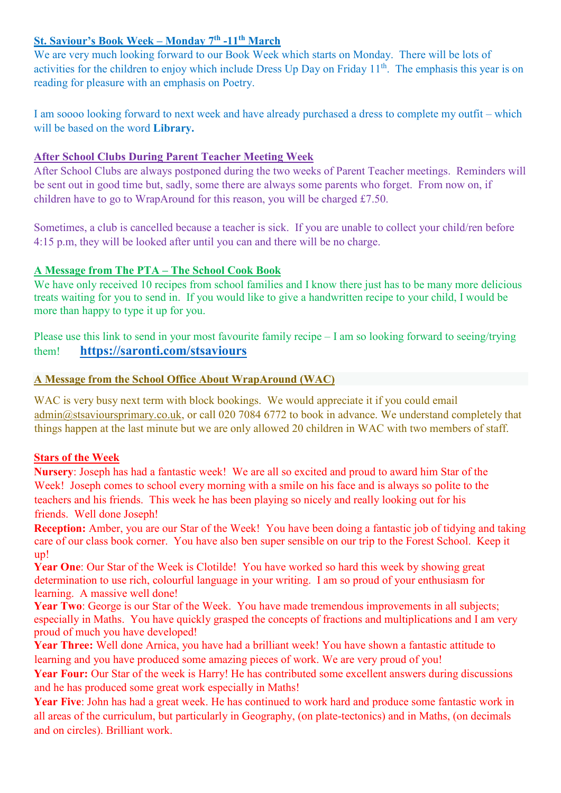#### **St. Saviour's Book Week – Monday 7th -11th March**

We are very much looking forward to our Book Week which starts on Monday. There will be lots of activities for the children to enjoy which include Dress Up Day on Friday 11<sup>th</sup>. The emphasis this year is on reading for pleasure with an emphasis on Poetry.

I am soooo looking forward to next week and have already purchased a dress to complete my outfit – which will be based on the word **Library.**

### **After School Clubs During Parent Teacher Meeting Week**

After School Clubs are always postponed during the two weeks of Parent Teacher meetings. Reminders will be sent out in good time but, sadly, some there are always some parents who forget. From now on, if children have to go to WrapAround for this reason, you will be charged £7.50.

Sometimes, a club is cancelled because a teacher is sick. If you are unable to collect your child/ren before 4:15 p.m, they will be looked after until you can and there will be no charge.

### **A Message from The PTA – The School Cook Book**

We have only received 10 recipes from school families and I know there just has to be many more delicious treats waiting for you to send in. If you would like to give a handwritten recipe to your child, I would be more than happy to type it up for you.

Please use this link to send in your most favourite family recipe – I am so looking forward to seeing/trying them! **<https://saronti.com/stsaviours>**

### **A Message from the School Office About WrapAround (WAC)**

WAC is very busy next term with block bookings. We would appreciate it if you could email [admin@stsavioursprimary.co.uk,](mailto:admin@stsavioursprimary.co.uk) or call 020 7084 6772 to book in advance. We understand completely that things happen at the last minute but we are only allowed 20 children in WAC with two members of staff.

#### **Stars of the Week**

**Nursery**: Joseph has had a fantastic week! We are all so excited and proud to award him Star of the Week! Joseph comes to school every morning with a smile on his face and is always so polite to the teachers and his friends. This week he has been playing so nicely and really looking out for his friends. Well done Joseph!

**Reception:** Amber, you are our Star of the Week! You have been doing a fantastic job of tidying and taking care of our class book corner. You have also ben super sensible on our trip to the Forest School. Keep it up!

**Year One**: Our Star of the Week is Clotilde! You have worked so hard this week by showing great determination to use rich, colourful language in your writing. I am so proud of your enthusiasm for learning. A massive well done!

Year Two: George is our Star of the Week. You have made tremendous improvements in all subjects; especially in Maths. You have quickly grasped the concepts of fractions and multiplications and I am very proud of much you have developed!

**Year Three:** Well done Arnica, you have had a brilliant week! You have shown a fantastic attitude to learning and you have produced some amazing pieces of work. We are very proud of you!

Year Four: Our Star of the week is Harry! He has contributed some excellent answers during discussions and he has produced some great work especially in Maths!

**Year Five**: John has had a great week. He has continued to work hard and produce some fantastic work in all areas of the curriculum, but particularly in Geography, (on plate-tectonics) and in Maths, (on decimals and on circles). Brilliant work.